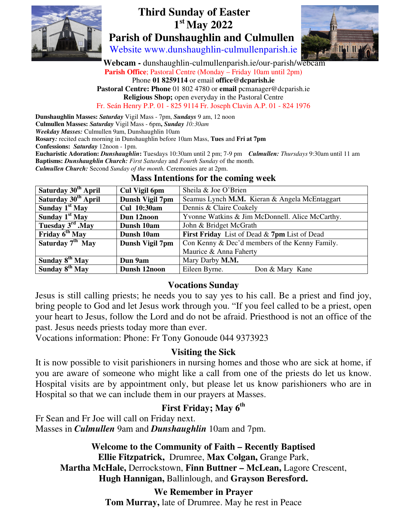

# **Third Sunday of Easter 1 st May 2022 Parish of Dunshaughlin and Culmullen**



Website www.dunshaughlin-culmullenparish.ie

 **Webcam -** dunshaughlin-culmullenparish.ie/our-parish/webcam **Parish Office**; Pastoral Centre (Monday – Friday 10am until 2pm) Phone **01 8259114** or email **office@dcparish.ie Pastoral Centre: Phone** 01 802 4780 or **email** pcmanager@dcparish.ie **Religious Shop;** open everyday in the Pastoral Centre

Fr. Seán Henry P.P. 01 - 825 9114 Fr. Joseph Clavin A.P. 01 - 824 1976

**Dunshaughlin Masses:** *Saturday* Vigil Mass - 7pm, *Sundays* 9 am, 12 noon

**Culmullen Masses:** *Saturday* Vigil Mass - 6pm**,** *Sunday 10:30am*

*Weekday Masses:* Culmullen 9am, Dunshaughlin 10am

**Rosary***:* recited each morning in Dunshaughlin before 10am Mass, **Tues** and **Fri at 7pm**

**Confessions:** *Saturday* 12noon - 1pm.

**Eucharistic Adoration:** *Dunshaughlin***:** Tuesdays 10:30am until 2 pm; 7-9 pm *Culmullen: Thursdays* 9:30am until 11 am **Baptisms:** *Dunshaughlin Church: First Saturday* and *Fourth Sunday* of the month.

*Culmullen Church:* Second *Sunday of the month.* Ceremonies are at 2pm.

#### **Mass Intentions for the coming week**

| Saturday 30 <sup>th</sup> April | Cul Vigil 6pm      | Sheila & Joe O'Brien                            |
|---------------------------------|--------------------|-------------------------------------------------|
| Saturday 30 <sup>th</sup> April | Dunsh Vigil 7pm    | Seamus Lynch M.M. Kieran & Angela McEntaggart   |
| Sunday $1st$ May                | <b>Cul</b> 10:30am | Dennis & Claire Coakely                         |
| Sunday $1st$ May                | Dun 12noon         | Yvonne Watkins & Jim McDonnell. Alice McCarthy. |
| Tuesday $3rd$ . May             | Dunsh 10am         | John & Bridget McGrath                          |
| Friday 6 <sup>th</sup> May      | Dunsh 10am         | First Friday List of Dead & 7pm List of Dead    |
| Saturday $7th$ May              | Dunsh Vigil 7pm    | Con Kenny & Dec'd members of the Kenny Family.  |
|                                 |                    | Maurice & Anna Faherty                          |
| Sunday 8 <sup>th</sup> May      | Dun 9am            | Mary Darby M.M.                                 |
| Sunday 8 <sup>th</sup> May      | Dunsh 12noon       | Eileen Byrne.<br>Don & Mary Kane                |

#### **Vocations Sunday**

Jesus is still calling priests; he needs you to say yes to his call. Be a priest and find joy, bring people to God and let Jesus work through you. "If you feel called to be a priest, open your heart to Jesus, follow the Lord and do not be afraid. Priesthood is not an office of the past. Jesus needs priests today more than ever.

Vocations information: Phone: Fr Tony Gonoude 044 9373923

#### **Visiting the Sick**

It is now possible to visit parishioners in nursing homes and those who are sick at home, if you are aware of someone who might like a call from one of the priests do let us know. Hospital visits are by appointment only, but please let us know parishioners who are in Hospital so that we can include them in our prayers at Masses.

## **First Friday; May 6th**

Fr Sean and Fr Joe will call on Friday next. Masses in *Culmullen* 9am and *Dunshaughlin* 10am and 7pm.

**Welcome to the Community of Faith – Recently Baptised** 

**Ellie Fitzpatrick,** Drumree, **Max Colgan,** Grange Park, **Martha McHale,** Derrockstown, **Finn Buttner – McLean,** Lagore Crescent, **Hugh Hannigan,** Ballinlough, and **Grayson Beresford.** 

### **We Remember in Prayer**

**Tom Murray,** late of Drumree. May he rest in Peace